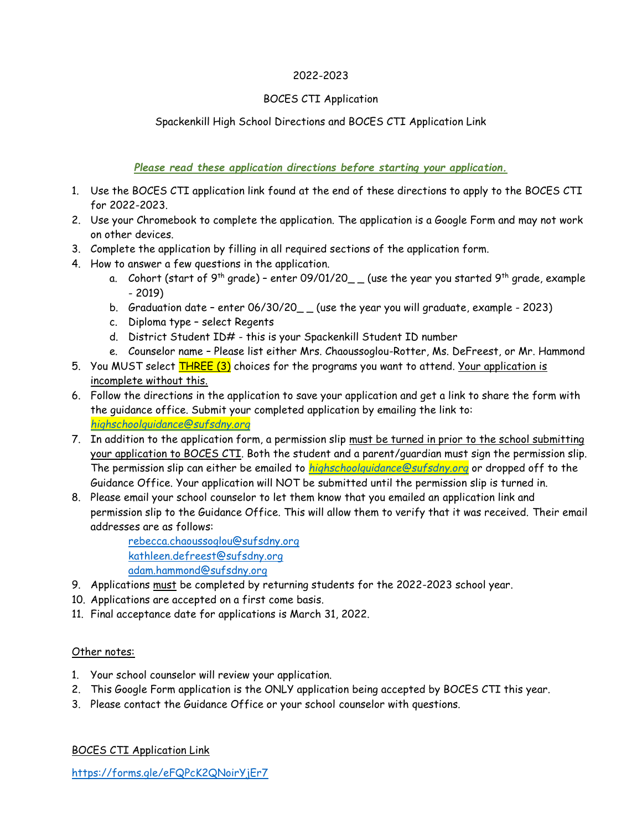#### 2022-2023

#### BOCES CTI Application

## Spackenkill High School Directions and BOCES CTI Application Link

*Please read these application directions before starting your application.*

- 1. Use the BOCES CTI application link found at the end of these directions to apply to the BOCES CTI for 2022-2023.
- 2. Use your Chromebook to complete the application. The application is a Google Form and may not work on other devices.
- 3. Complete the application by filling in all required sections of the application form.
- 4. How to answer a few questions in the application.
	- a.  $\,$  Cohort (start of 9<sup>th</sup> grade) enter 09/01/20\_  $\_$  (use the year you started 9<sup>th</sup> grade, example - 2019)
	- b. Graduation date enter 06/30/20\_ (use the year you will graduate, example 2023)
	- c. Diploma type select Regents
	- d. District Student ID# this is your Spackenkill Student ID number
	- e. Counselor name Please list either Mrs. Chaoussoglou-Rotter, Ms. DeFreest, or Mr. Hammond
- 5. You MUST select THREE (3) choices for the programs you want to attend. Your application is incomplete without this.
- 6. Follow the directions in the application to save your application and get a link to share the form with the guidance office. Submit your completed application by emailing the link to: *[highschoolguidance@sufsdny.org](mailto:highschoolguidance@sufsdny.org)*
- 7. In addition to the application form, a permission slip must be turned in prior to the school submitting your application to BOCES CTI. Both the student and a parent/guardian must sign the permission slip. The permission slip can either be emailed to *[highschoolguidance@sufsdny.org](mailto:highschoolguidance@sufsdny.org)* or dropped off to the Guidance Office. Your application will NOT be submitted until the permission slip is turned in.
- 8. Please email your school counselor to let them know that you emailed an application link and permission slip to the Guidance Office. This will allow them to verify that it was received. Their email addresses are as follows:

[rebecca.chaoussoglou@sufsdny.org](mailto:rebecca.chaoussoglou@sufsdny.org) [kathleen.defreest@sufsdny.org](mailto:kathleen.defreest@sufsdny.org) [adam.hammond@sufsdny.org](mailto:adam.hammond@sufsdny.org)

- 9. Applications must be completed by returning students for the 2022-2023 school year.
- 10. Applications are accepted on a first come basis.
- 11. Final acceptance date for applications is March 31, 2022.

## Other notes:

- 1. Your school counselor will review your application.
- 2. This Google Form application is the ONLY application being accepted by BOCES CTI this year.
- 3. Please contact the Guidance Office or your school counselor with questions.

BOCES CTI Application Link

<https://forms.gle/eFQPcK2QNoirYjEr7>